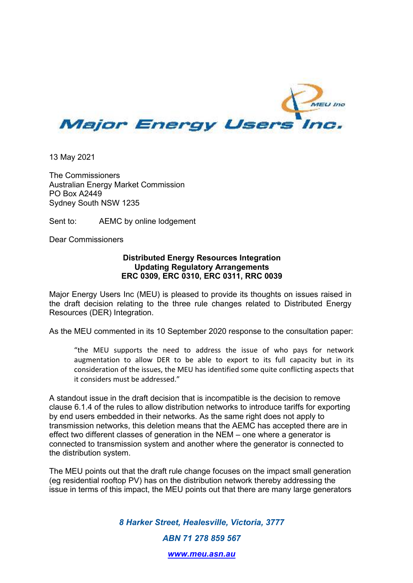

13 May 2021

The Commissioners Australian Energy Market Commission PO Box A2449 Sydney South NSW 1235

Sent to: AEMC by online lodgement

Dear Commissioners

## **Distributed Energy Resources Integration Updating Regulatory Arrangements ERC 0309, ERC 0310, ERC 0311, RRC 0039**

Major Energy Users Inc (MEU) is pleased to provide its thoughts on issues raised in the draft decision relating to the three rule changes related to Distributed Energy Resources (DER) Integration.

As the MEU commented in its 10 September 2020 response to the consultation paper:

"the MEU supports the need to address the issue of who pays for network augmentation to allow DER to be able to export to its full capacity but in its consideration of the issues, the MEU has identified some quite conflicting aspects that it considers must be addressed."

A standout issue in the draft decision that is incompatible is the decision to remove clause 6.1.4 of the rules to allow distribution networks to introduce tariffs for exporting by end users embedded in their networks. As the same right does not apply to transmission networks, this deletion means that the AEMC has accepted there are in effect two different classes of generation in the NEM – one where a generator is connected to transmission system and another where the generator is connected to the distribution system.

The MEU points out that the draft rule change focuses on the impact small generation (eg residential rooftop PV) has on the distribution network thereby addressing the issue in terms of this impact, the MEU points out that there are many large generators

> *8 Harker Street, Healesville, Victoria, 3777 ABN 71 278 859 567*

> > *www.meu.asn.au*